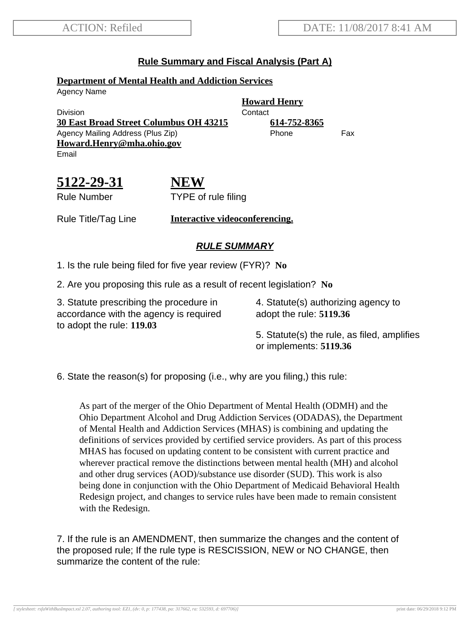## **Rule Summary and Fiscal Analysis (Part A)**

### **Department of Mental Health and Addiction Services**

Agency Name

Division **Contact 30 East Broad Street Columbus OH 43215 614-752-8365** Agency Mailing Address (Plus Zip) entitled the Phone Fax **Howard.Henry@mha.ohio.gov** Email

**Howard Henry**

**5122-29-31** Rule Number

**NEW** TYPE of rule filing

Rule Title/Tag Line **Interactive videoconferencing.**

# **RULE SUMMARY**

1. Is the rule being filed for five year review (FYR)? **No**

2. Are you proposing this rule as a result of recent legislation? **No**

3. Statute prescribing the procedure in accordance with the agency is required to adopt the rule: **119.03**

4. Statute(s) authorizing agency to adopt the rule: **5119.36**

5. Statute(s) the rule, as filed, amplifies or implements: **5119.36**

6. State the reason(s) for proposing (i.e., why are you filing,) this rule:

As part of the merger of the Ohio Department of Mental Health (ODMH) and the Ohio Department Alcohol and Drug Addiction Services (ODADAS), the Department of Mental Health and Addiction Services (MHAS) is combining and updating the definitions of services provided by certified service providers. As part of this process MHAS has focused on updating content to be consistent with current practice and wherever practical remove the distinctions between mental health (MH) and alcohol and other drug services (AOD)/substance use disorder (SUD). This work is also being done in conjunction with the Ohio Department of Medicaid Behavioral Health Redesign project, and changes to service rules have been made to remain consistent with the Redesign.

7. If the rule is an AMENDMENT, then summarize the changes and the content of the proposed rule; If the rule type is RESCISSION, NEW or NO CHANGE, then summarize the content of the rule: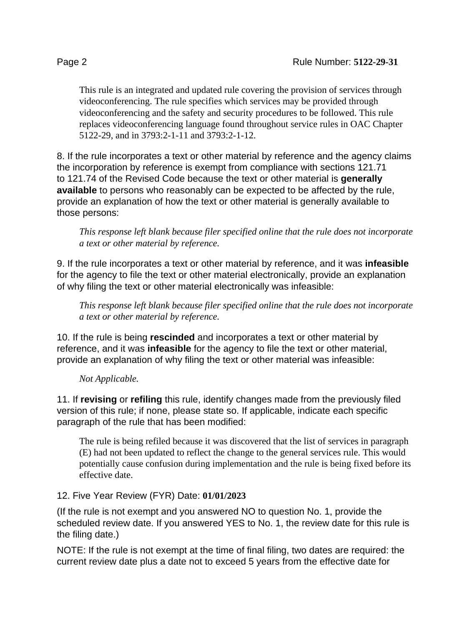This rule is an integrated and updated rule covering the provision of services through videoconferencing. The rule specifies which services may be provided through videoconferencing and the safety and security procedures to be followed. This rule replaces videoconferencing language found throughout service rules in OAC Chapter 5122-29, and in 3793:2-1-11 and 3793:2-1-12.

8. If the rule incorporates a text or other material by reference and the agency claims the incorporation by reference is exempt from compliance with sections 121.71 to 121.74 of the Revised Code because the text or other material is **generally available** to persons who reasonably can be expected to be affected by the rule, provide an explanation of how the text or other material is generally available to those persons:

*This response left blank because filer specified online that the rule does not incorporate a text or other material by reference.*

9. If the rule incorporates a text or other material by reference, and it was **infeasible** for the agency to file the text or other material electronically, provide an explanation of why filing the text or other material electronically was infeasible:

*This response left blank because filer specified online that the rule does not incorporate a text or other material by reference.*

10. If the rule is being **rescinded** and incorporates a text or other material by reference, and it was **infeasible** for the agency to file the text or other material, provide an explanation of why filing the text or other material was infeasible:

### *Not Applicable.*

11. If **revising** or **refiling** this rule, identify changes made from the previously filed version of this rule; if none, please state so. If applicable, indicate each specific paragraph of the rule that has been modified:

The rule is being refiled because it was discovered that the list of services in paragraph (E) had not been updated to reflect the change to the general services rule. This would potentially cause confusion during implementation and the rule is being fixed before its effective date.

### 12. Five Year Review (FYR) Date: **01/01/2023**

(If the rule is not exempt and you answered NO to question No. 1, provide the scheduled review date. If you answered YES to No. 1, the review date for this rule is the filing date.)

NOTE: If the rule is not exempt at the time of final filing, two dates are required: the current review date plus a date not to exceed 5 years from the effective date for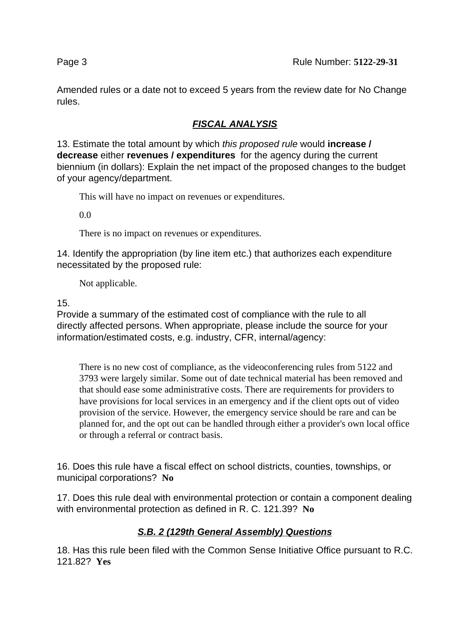Amended rules or a date not to exceed 5 years from the review date for No Change rules.

# **FISCAL ANALYSIS**

13. Estimate the total amount by which this proposed rule would **increase / decrease** either **revenues / expenditures** for the agency during the current biennium (in dollars): Explain the net impact of the proposed changes to the budget of your agency/department.

This will have no impact on revenues or expenditures.

0.0

There is no impact on revenues or expenditures.

14. Identify the appropriation (by line item etc.) that authorizes each expenditure necessitated by the proposed rule:

Not applicable.

15.

Provide a summary of the estimated cost of compliance with the rule to all directly affected persons. When appropriate, please include the source for your information/estimated costs, e.g. industry, CFR, internal/agency:

There is no new cost of compliance, as the videoconferencing rules from 5122 and 3793 were largely similar. Some out of date technical material has been removed and that should ease some administrative costs. There are requirements for providers to have provisions for local services in an emergency and if the client opts out of video provision of the service. However, the emergency service should be rare and can be planned for, and the opt out can be handled through either a provider's own local office or through a referral or contract basis.

16. Does this rule have a fiscal effect on school districts, counties, townships, or municipal corporations? **No**

17. Does this rule deal with environmental protection or contain a component dealing with environmental protection as defined in R. C. 121.39? **No**

# **S.B. 2 (129th General Assembly) Questions**

18. Has this rule been filed with the Common Sense Initiative Office pursuant to R.C. 121.82? **Yes**